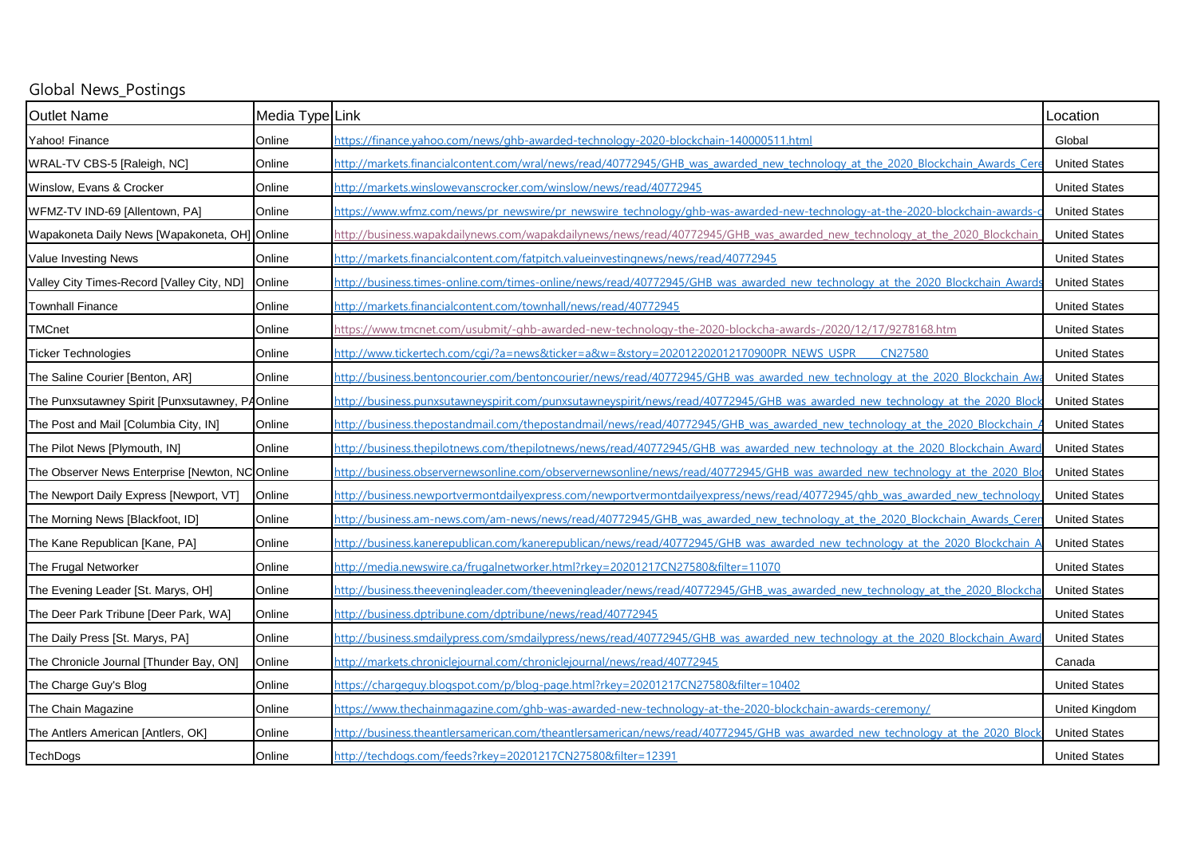| Global News_Postings                            |                 |                                                                                                                               |                      |
|-------------------------------------------------|-----------------|-------------------------------------------------------------------------------------------------------------------------------|----------------------|
| <b>Outlet Name</b>                              | Media Type Link |                                                                                                                               | _ocation             |
| Yahoo! Finance                                  | Online          | https://finance.yahoo.com/news/ghb-awarded-technology-2020-blockchain-140000511.html                                          | Global               |
| WRAL-TV CBS-5 [Raleigh, NC]                     | Online          | http://markets.financialcontent.com/wral/news/read/40772945/GHB was awarded new technology at the 2020 Blockchain Awards Cer  | <b>United States</b> |
| Winslow, Evans & Crocker                        | Online          | http://markets.winslowevanscrocker.com/winslow/news/read/40772945                                                             | <b>United States</b> |
| WFMZ-TV IND-69 [Allentown, PA]                  | Online          | https://www.wfmz.com/news/pr_newswire/pr_newswire_technology/ghb-was-awarded-new-technology-at-the-2020-blockchain-awards-    | <b>United States</b> |
| Wapakoneta Daily News [Wapakoneta, OH] Online   |                 | http://business.wapakdailynews.com/wapakdailynews/news/read/40772945/GHB was awarded new technology at the 2020 Blockchain    | <b>United States</b> |
| Value Investing News                            | Online          | http://markets.financialcontent.com/fatpitch.valueinvestingnews/news/read/40772945                                            | <b>United States</b> |
| Valley City Times-Record [Valley City, ND]      | Online          | http://business.times-online.com/times-online/news/read/40772945/GHB was awarded new technology at the 2020 Blockchain Award  | <b>United States</b> |
| <b>Townhall Finance</b>                         | Online          | http://markets.financialcontent.com/townhall/news/read/40772945                                                               | <b>United States</b> |
| <b>TMCnet</b>                                   | Online          | https://www.tmcnet.com/usubmit/-ghb-awarded-new-technology-the-2020-blockcha-awards-/2020/12/17/9278168.htm                   | <b>United States</b> |
| <b>Ticker Technologies</b>                      | Online          | http://www.tickertech.com/cgi/?a=news&ticker=a&w=&story=202012202012170900PR_NEWS_USPR<br><b>CN27580</b>                      | <b>United States</b> |
| The Saline Courier [Benton, AR]                 | Online          | http://business.bentoncourier.com/bentoncourier/news/read/40772945/GHB was awarded new technology at the 2020 Blockchain Aw   | <b>United States</b> |
| The Punxsutawney Spirit [Punxsutawney, PAOnline |                 | http://business.punxsutawneyspirit.com/punxsutawneyspirit/news/read/40772945/GHB was awarded new technology at the 2020 Bloc  | <b>United States</b> |
| The Post and Mail [Columbia City, IN]           | Online          | http://business.thepostandmail.com/thepostandmail/news/read/40772945/GHB was awarded new technology at the 2020 Blockchain    | <b>United States</b> |
| The Pilot News [Plymouth, IN]                   | Online          | http://business.thepilotnews.com/thepilotnews/news/read/40772945/GHB was awarded new technology at the 2020 Blockchain Awar   | <b>United States</b> |
| The Observer News Enterprise [Newton, NC Online |                 | http://business.observernewsonline.com/observernewsonline/news/read/40772945/GHB was awarded new technology at the 2020 Blc   | <b>United States</b> |
| The Newport Daily Express [Newport, VT]         | Online          | http://business.newportvermontdailyexpress.com/newportvermontdailyexpress/news/read/40772945/ghb was awarded new technology   | <b>United States</b> |
| The Morning News [Blackfoot, ID]                | Online          | http://business.am-news.com/am-news/news/read/40772945/GHB was awarded new technology at the 2020 Blockchain Awards Cerei     | <b>United States</b> |
| The Kane Republican [Kane, PA]                  | Online          | http://business.kanerepublican.com/kanerepublican/news/read/40772945/GHB was awarded new technology at the 2020 Blockchain A  | <b>United States</b> |
| The Frugal Networker                            | Online          | http://media.newswire.ca/frugalnetworker.html?rkey=20201217CN27580&filter=11070                                               | <b>United States</b> |
| The Evening Leader [St. Marys, OH]              | Online          | http://business.theeveningleader.com/theeveningleader/news/read/40772945/GHB was awarded new technology at the 2020 Blockcha  | <b>United States</b> |
| The Deer Park Tribune [Deer Park, WA]           | Online          | http://business.dptribune.com/dptribune/news/read/40772945                                                                    | <b>United States</b> |
| The Daily Press [St. Marys, PA]                 | Online          | http://business.smdailypress.com/smdailypress/news/read/40772945/GHB was awarded new technology at the 2020 Blockchain Awar   | <b>United States</b> |
| The Chronicle Journal [Thunder Bay, ON]         | Online          | http://markets.chroniclejournal.com/chroniclejournal/news/read/40772945                                                       | Canada               |
| The Charge Guy's Blog                           | Online          | https://chargeguy.blogspot.com/p/blog-page.html?rkey=20201217CN27580&filter=10402                                             | <b>United States</b> |
| The Chain Magazine                              | Online          | https://www.thechainmagazine.com/ghb-was-awarded-new-technology-at-the-2020-blockchain-awards-ceremony/                       | United Kingdom       |
| The Antlers American [Antlers, OK]              | Online          | http://business.theantlersamerican.com/theantlersamerican/news/read/40772945/GHB was awarded new technology at the 2020 Block | <b>United States</b> |
| <b>TechDogs</b>                                 | Online          | http://techdogs.com/feeds?rkey=20201217CN27580&filter=12391                                                                   | <b>United States</b> |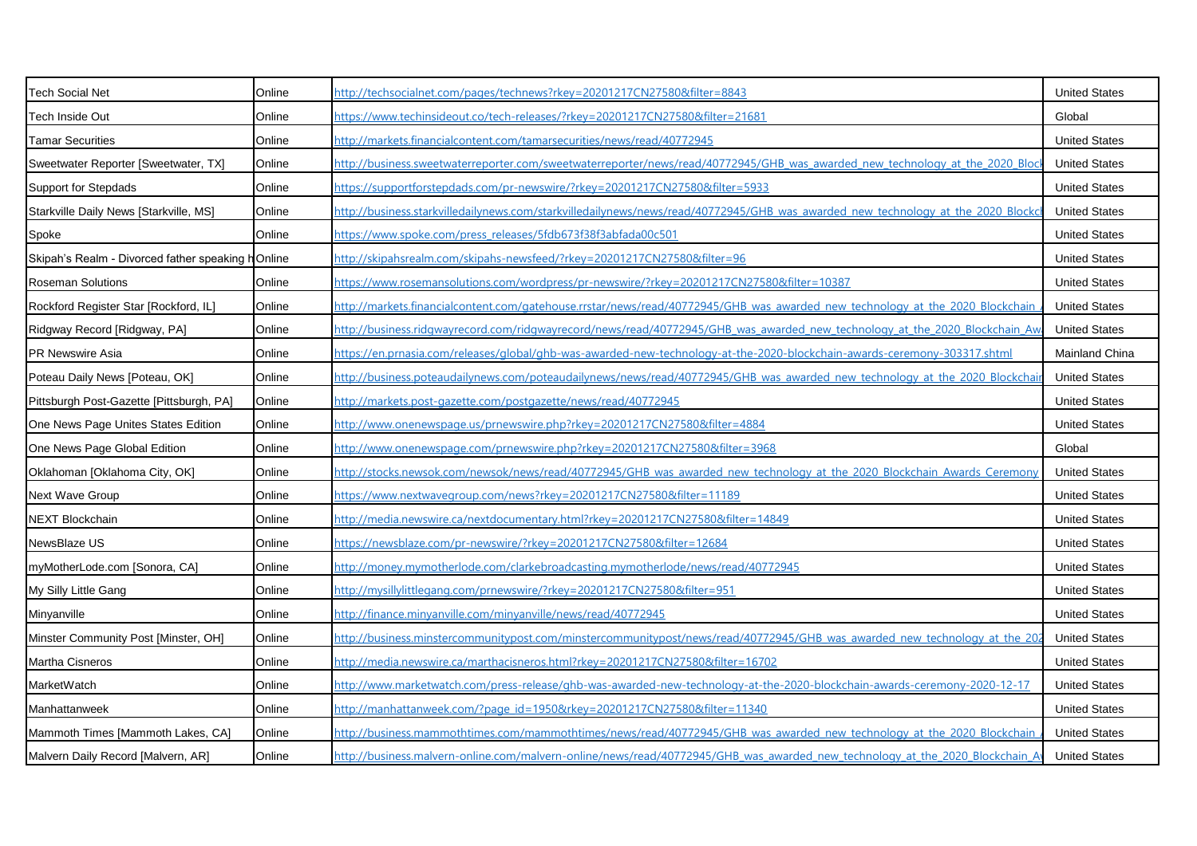| <b>Tech Social Net</b>                            | Online | http://techsocialnet.com/pages/technews?rkey=20201217CN27580&filter=8843                                                         | <b>United States</b> |
|---------------------------------------------------|--------|----------------------------------------------------------------------------------------------------------------------------------|----------------------|
| Tech Inside Out                                   | Online | https://www.techinsideout.co/tech-releases/?rkey=20201217CN27580&filter=21681                                                    | Global               |
| <b>Tamar Securities</b>                           | Online | http://markets.financialcontent.com/tamarsecurities/news/read/40772945                                                           | <b>United States</b> |
| Sweetwater Reporter [Sweetwater, TX]              | Online | http://business.sweetwaterreporter.com/sweetwaterreporter/news/read/40772945/GHB was awarded new technology at the 2020 Bloc     | <b>United States</b> |
| Support for Stepdads                              | Online | https://supportforstepdads.com/pr-newswire/?rkey=20201217CN27580&filter=5933                                                     | <b>United States</b> |
| Starkville Daily News [Starkville, MS]            | Online | http://business.starkvilledailynews.com/starkvilledailynews/news/read/40772945/GHB was awarded new technology at the 2020 Blockd | <b>United States</b> |
| Spoke                                             | Online | https://www.spoke.com/press_releases/5fdb673f38f3abfada00c501                                                                    | <b>United States</b> |
| Skipah's Realm - Divorced father speaking hOnline |        | http://skipahsrealm.com/skipahs-newsfeed/?rkey=20201217CN27580&filter=96                                                         | <b>United States</b> |
| <b>Roseman Solutions</b>                          | Online | https://www.rosemansolutions.com/wordpress/pr-newswire/?rkey=20201217CN27580&filter=10387                                        | <b>United States</b> |
| Rockford Register Star [Rockford, IL]             | Online | http://markets.financialcontent.com/gatehouse.rrstar/news/read/40772945/GHB was awarded new technology at the 2020 Blockchain    | <b>United States</b> |
| Ridgway Record [Ridgway, PA]                      | Online | http://business.ridgwayrecord.com/ridgwayrecord/news/read/40772945/GHB was awarded new technology at the 2020 Blockchain Aw      | <b>United States</b> |
| <b>PR Newswire Asia</b>                           | Online | https://en.prnasia.com/releases/global/ghb-was-awarded-new-technology-at-the-2020-blockchain-awards-ceremony-303317.shtml        | Mainland China       |
| Poteau Daily News [Poteau, OK]                    | Online | http://business.poteaudailynews.com/poteaudailynews/news/read/40772945/GHB was awarded new technology at the 2020 Blockchai      | <b>United States</b> |
| Pittsburgh Post-Gazette [Pittsburgh, PA]          | Online | http://markets.post-gazette.com/postgazette/news/read/40772945                                                                   | <b>United States</b> |
| One News Page Unites States Edition               | Online | http://www.onenewspage.us/prnewswire.php?rkey=20201217CN27580&filter=4884                                                        | <b>United States</b> |
| One News Page Global Edition                      | Online | http://www.onenewspage.com/prnewswire.php?rkey=20201217CN27580&filter=3968                                                       | Global               |
| Oklahoman [Oklahoma City, OK]                     | Online | http://stocks.newsok.com/newsok/news/read/40772945/GHB was awarded new technology at the 2020 Blockchain Awards Ceremony         | <b>United States</b> |
| <b>Next Wave Group</b>                            | Online | https://www.nextwavegroup.com/news?rkey=20201217CN27580&filter=11189                                                             | <b>United States</b> |
| NEXT Blockchain                                   | Online | http://media.newswire.ca/nextdocumentary.html?rkey=20201217CN27580&filter=14849                                                  | <b>United States</b> |
| NewsBlaze US                                      | Online | https://newsblaze.com/pr-newswire/?rkey=20201217CN27580&filter=12684                                                             | <b>United States</b> |
| myMotherLode.com [Sonora, CA]                     | Online | http://money.mymotherlode.com/clarkebroadcasting.mymotherlode/news/read/40772945                                                 | <b>United States</b> |
| My Silly Little Gang                              | Online | http://mysillylittlegang.com/prnewswire/?rkey=20201217CN27580&filter=951                                                         | <b>United States</b> |
| Minyanville                                       | Online | http://finance.minyanville.com/minyanville/news/read/40772945                                                                    | <b>United States</b> |
| Minster Community Post [Minster, OH]              | Online | http://business.minstercommunitypost.com/minstercommunitypost/news/read/40772945/GHB was awarded new technology at the 20        | <b>United States</b> |
| Martha Cisneros                                   | Online | http://media.newswire.ca/marthacisneros.html?rkey=20201217CN27580&filter=16702                                                   | <b>United States</b> |
| MarketWatch                                       | Online | http://www.marketwatch.com/press-release/ghb-was-awarded-new-technology-at-the-2020-blockchain-awards-ceremony-2020-12-17        | <b>United States</b> |
| Manhattanweek                                     | Online | http://manhattanweek.com/?page_id=1950&rkey=20201217CN27580&filter=11340                                                         | <b>United States</b> |
| Mammoth Times [Mammoth Lakes, CA]                 | Online | http://business.mammothtimes.com/mammothtimes/news/read/40772945/GHB was awarded new technology at the 2020 Blockchain           | <b>United States</b> |
| Malvern Daily Record [Malvern, AR]                | Online | http://business.malvern-online.com/malvern-online/news/read/40772945/GHB was awarded new technology at the 2020 Blockchain A     | <b>United States</b> |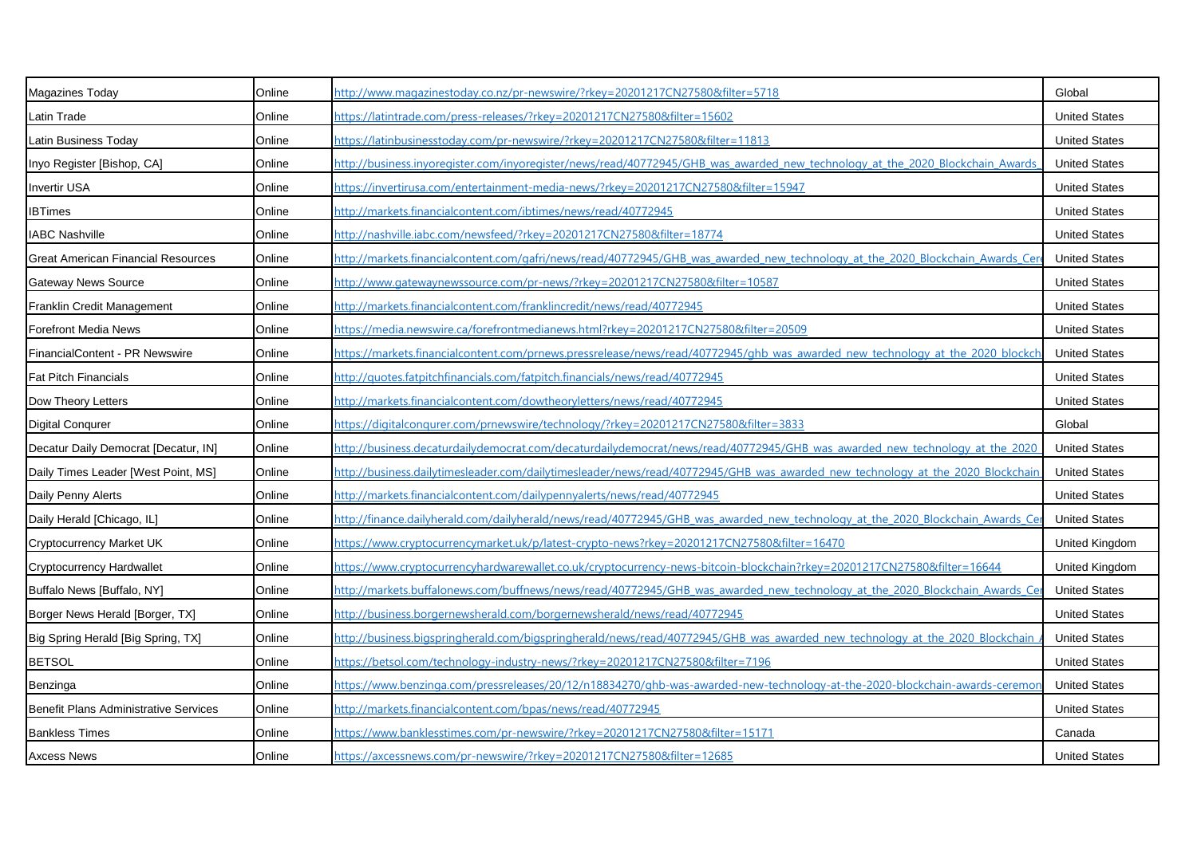| Magazines Today                              | Online | http://www.magazinestoday.co.nz/pr-newswire/?rkey=20201217CN27580&filter=5718                                                  | Global                |
|----------------------------------------------|--------|--------------------------------------------------------------------------------------------------------------------------------|-----------------------|
| Latin Trade                                  | Online | https://latintrade.com/press-releases/?rkey=20201217CN27580&filter=15602                                                       | <b>United States</b>  |
| Latin Business Today                         | Online | <u>https://latinbusinesstoday.com/pr-newswire/?rkey=20201217CN27580&amp;filter=11813</u>                                       | <b>United States</b>  |
| Inyo Register [Bishop, CA]                   | Online | nttp://business.inyoregister.com/inyoregister/news/read/40772945/GHB was awarded new technology at the 2020 Blockchain Awards  | <b>United States</b>  |
| <b>Invertir USA</b>                          | Online | https://invertirusa.com/entertainment-media-news/?rkey=20201217CN27580&filter=15947                                            | <b>United States</b>  |
| <b>IBTimes</b>                               | Online | http://markets.financialcontent.com/ibtimes/news/read/40772945                                                                 | <b>United States</b>  |
| <b>IABC Nashville</b>                        | Online | http://nashville.iabc.com/newsfeed/?rkey=20201217CN27580&filter=18774                                                          | <b>United States</b>  |
| <b>Great American Financial Resources</b>    | Online | http://markets.financialcontent.com/gafri/news/read/40772945/GHB was awarded new technology at the 2020 Blockchain Awards Cerr | <b>United States</b>  |
| <b>Gateway News Source</b>                   | Online | http://www.gatewaynewssource.com/pr-news/?rkey=20201217CN27580&filter=10587                                                    | <b>United States</b>  |
| Franklin Credit Management                   | Online | http://markets.financialcontent.com/franklincredit/news/read/40772945                                                          | <b>United States</b>  |
| <b>Forefront Media News</b>                  | Online | https://media.newswire.ca/forefrontmedianews.html?rkey=20201217CN27580&filter=20509                                            | <b>United States</b>  |
| FinancialContent - PR Newswire               | Online | https://markets.financialcontent.com/prnews.pressrelease/news/read/40772945/ghb was awarded new technology at the 2020 blockch | <b>United States</b>  |
| <b>Fat Pitch Financials</b>                  | Online | http://quotes.fatpitchfinancials.com/fatpitch.financials/news/read/40772945                                                    | <b>United States</b>  |
| Dow Theory Letters                           | Online | http://markets.financialcontent.com/dowtheoryletters/news/read/40772945                                                        | <b>United States</b>  |
| <b>Digital Conqurer</b>                      | Online | https://digitalcongurer.com/prnewswire/technology/?rkey=20201217CN27580&filter=3833                                            | Global                |
| Decatur Daily Democrat [Decatur, IN]         | Online | http://business.decaturdailydemocrat.com/decaturdailydemocrat/news/read/40772945/GHB was awarded new technology at the 2020    | <b>United States</b>  |
| Daily Times Leader [West Point, MS]          | Online | http://business.dailytimesleader.com/dailytimesleader/news/read/40772945/GHB was awarded new technology at the 2020 Blockchain | <b>United States</b>  |
| Daily Penny Alerts                           | Online | http://markets.financialcontent.com/dailypennyalerts/news/read/40772945                                                        | <b>United States</b>  |
| Daily Herald [Chicago, IL]                   | Online | http://finance.dailyherald.com/dailyherald/news/read/40772945/GHB was awarded new technology at the 2020 Blockchain Awards Cer | <b>United States</b>  |
| Cryptocurrency Market UK                     | Online | https://www.cryptocurrencymarket.uk/p/latest-crypto-news?rkey=20201217CN27580&filter=16470                                     | <b>United Kingdom</b> |
| <b>Cryptocurrency Hardwallet</b>             | Online | https://www.cryptocurrencyhardwarewallet.co.uk/cryptocurrency-news-bitcoin-blockchain?rkey=20201217CN27580&filter=16644        | <b>United Kingdom</b> |
| Buffalo News [Buffalo, NY]                   | Online | http://markets.buffalonews.com/buffnews/news/read/40772945/GHB was awarded new technology at the 2020 Blockchain Awards Ce     | <b>United States</b>  |
| Borger News Herald [Borger, TX]              | Online | http://business.borgernewsherald.com/borgernewsherald/news/read/40772945                                                       | <b>United States</b>  |
| Big Spring Herald [Big Spring, TX]           | Online | http://business.bigspringherald.com/bigspringherald/news/read/40772945/GHB was awarded new technology at the 2020 Blockchain   | <b>United States</b>  |
| <b>BETSOL</b>                                | Online | https://betsol.com/technology-industry-news/?rkey=20201217CN27580&filter=7196                                                  | <b>United States</b>  |
| Benzinga                                     | Online | https://www.benzinga.com/pressreleases/20/12/n18834270/ghb-was-awarded-new-technology-at-the-2020-blockchain-awards-ceremor    | <b>United States</b>  |
| <b>Benefit Plans Administrative Services</b> | Online | http://markets.financialcontent.com/bpas/news/read/40772945                                                                    | <b>United States</b>  |
| <b>Bankless Times</b>                        | Online | https://www.banklesstimes.com/pr-newswire/?rkey=20201217CN27580&filter=15171                                                   | Canada                |
| <b>Axcess News</b>                           | Online | https://axcessnews.com/pr-newswire/?rkey=20201217CN27580&filter=12685                                                          | <b>United States</b>  |